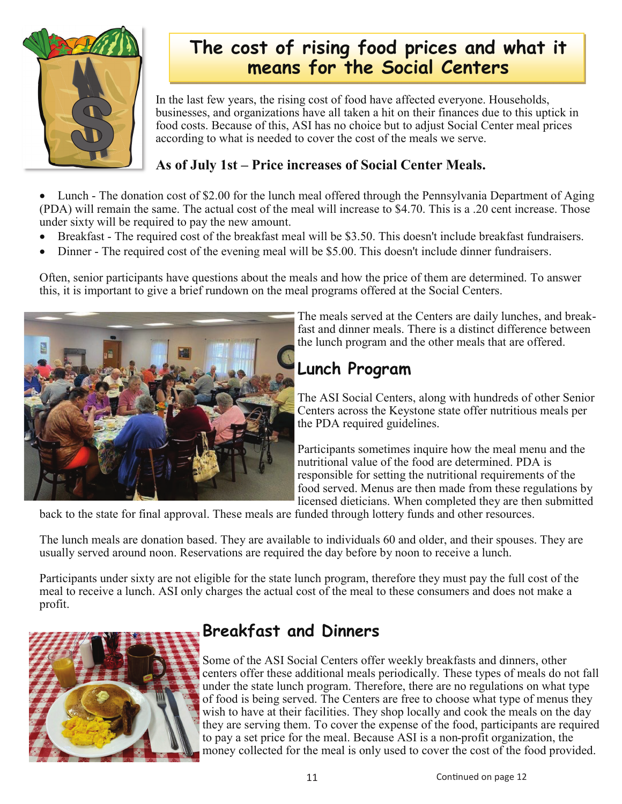

# **The cost of rising food prices and what it means for the Social Centers**

In the last few years, the rising cost of food have affected everyone. Households, businesses, and organizations have all taken a hit on their finances due to this uptick in food costs. Because of this, ASI has no choice but to adjust Social Center meal prices according to what is needed to cover the cost of the meals we serve.

#### **As of July 1st – Price increases of Social Center Meals.**

Lunch - The donation cost of \$2.00 for the lunch meal offered through the Pennsylvania Department of Aging (PDA) will remain the same. The actual cost of the meal will increase to \$4.70. This is a .20 cent increase. Those under sixty will be required to pay the new amount.

- Breakfast The required cost of the breakfast meal will be \$3.50. This doesn't include breakfast fundraisers.
- Dinner The required cost of the evening meal will be \$5.00. This doesn't include dinner fundraisers.

Often, senior participants have questions about the meals and how the price of them are determined. To answer this, it is important to give a brief rundown on the meal programs offered at the Social Centers.



The meals served at the Centers are daily lunches, and breakfast and dinner meals. There is a distinct difference between the lunch program and the other meals that are offered.

# **Lunch Program**

The ASI Social Centers, along with hundreds of other Senior Centers across the Keystone state offer nutritious meals per the PDA required guidelines.

Participants sometimes inquire how the meal menu and the nutritional value of the food are determined. PDA is responsible for setting the nutritional requirements of the food served. Menus are then made from these regulations by licensed dieticians. When completed they are then submitted

back to the state for final approval. These meals are funded through lottery funds and other resources.

The lunch meals are donation based. They are available to individuals 60 and older, and their spouses. They are usually served around noon. Reservations are required the day before by noon to receive a lunch.

Participants under sixty are not eligible for the state lunch program, therefore they must pay the full cost of the meal to receive a lunch. ASI only charges the actual cost of the meal to these consumers and does not make a profit.



## **Breakfast and Dinners**

Some of the ASI Social Centers offer weekly breakfasts and dinners, other centers offer these additional meals periodically. These types of meals do not fall under the state lunch program. Therefore, there are no regulations on what type of food is being served. The Centers are free to choose what type of menus they wish to have at their facilities. They shop locally and cook the meals on the day they are serving them. To cover the expense of the food, participants are required to pay a set price for the meal. Because ASI is a non-profit organization, the money collected for the meal is only used to cover the cost of the food provided.